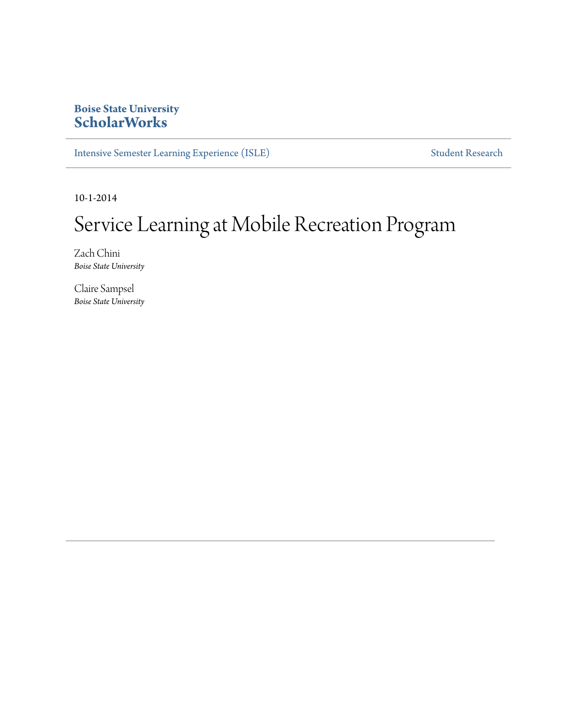#### **Boise State University [ScholarWorks](http://scholarworks.boisestate.edu)**

[Intensive Semester Learning Experience \(ISLE\)](http://scholarworks.boisestate.edu/isle) [Student Research](http://scholarworks.boisestate.edu/student_research)

10-1-2014

#### Service Learning at Mobile Recreation Program

Zach Chini *Boise State University*

Claire Sampsel *Boise State University*